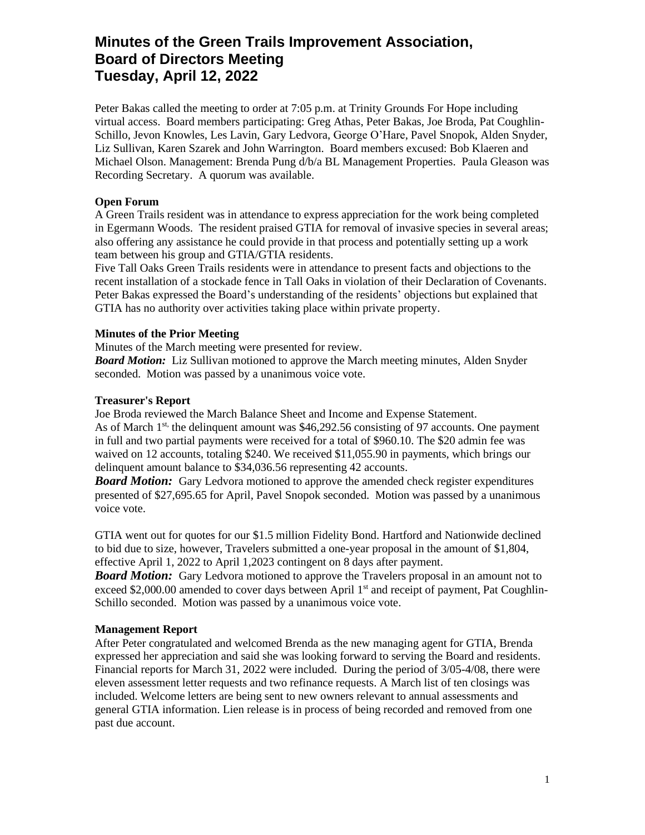# **Minutes of the Green Trails Improvement Association, Board of Directors Meeting Tuesday, April 12, 2022**

Peter Bakas called the meeting to order at 7:05 p.m. at Trinity Grounds For Hope including virtual access. Board members participating: Greg Athas, Peter Bakas, Joe Broda, Pat Coughlin-Schillo, Jevon Knowles, Les Lavin, Gary Ledvora, George O'Hare, Pavel Snopok, Alden Snyder, Liz Sullivan, Karen Szarek and John Warrington. Board members excused: Bob Klaeren and Michael Olson. Management: Brenda Pung d/b/a BL Management Properties. Paula Gleason was Recording Secretary. A quorum was available.

## **Open Forum**

A Green Trails resident was in attendance to express appreciation for the work being completed in Egermann Woods. The resident praised GTIA for removal of invasive species in several areas; also offering any assistance he could provide in that process and potentially setting up a work team between his group and GTIA/GTIA residents.

Five Tall Oaks Green Trails residents were in attendance to present facts and objections to the recent installation of a stockade fence in Tall Oaks in violation of their Declaration of Covenants. Peter Bakas expressed the Board's understanding of the residents' objections but explained that GTIA has no authority over activities taking place within private property.

# **Minutes of the Prior Meeting**

Minutes of the March meeting were presented for review.

*Board Motion:* Liz Sullivan motioned to approve the March meeting minutes, Alden Snyder seconded. Motion was passed by a unanimous voice vote.

# **Treasurer's Report**

Joe Broda reviewed the March Balance Sheet and Income and Expense Statement. As of March 1<sup>st,</sup> the delinquent amount was \$46,292.56 consisting of 97 accounts. One payment in full and two partial payments were received for a total of \$960.10. The \$20 admin fee was waived on 12 accounts, totaling \$240. We received \$11,055.90 in payments, which brings our delinquent amount balance to \$34,036.56 representing 42 accounts.

*Board Motion:* Gary Ledvora motioned to approve the amended check register expenditures presented of \$27,695.65 for April, Pavel Snopok seconded. Motion was passed by a unanimous voice vote.

GTIA went out for quotes for our \$1.5 million Fidelity Bond. Hartford and Nationwide declined to bid due to size, however, Travelers submitted a one-year proposal in the amount of \$1,804, effective April 1, 2022 to April 1,2023 contingent on 8 days after payment.

*Board Motion:* Gary Ledvora motioned to approve the Travelers proposal in an amount not to exceed \$2,000.00 amended to cover days between April 1<sup>st</sup> and receipt of payment, Pat Coughlin-Schillo seconded. Motion was passed by a unanimous voice vote.

## **Management Report**

After Peter congratulated and welcomed Brenda as the new managing agent for GTIA, Brenda expressed her appreciation and said she was looking forward to serving the Board and residents. Financial reports for March 31, 2022 were included. During the period of 3/05-4/08, there were eleven assessment letter requests and two refinance requests. A March list of ten closings was included. Welcome letters are being sent to new owners relevant to annual assessments and general GTIA information. Lien release is in process of being recorded and removed from one past due account.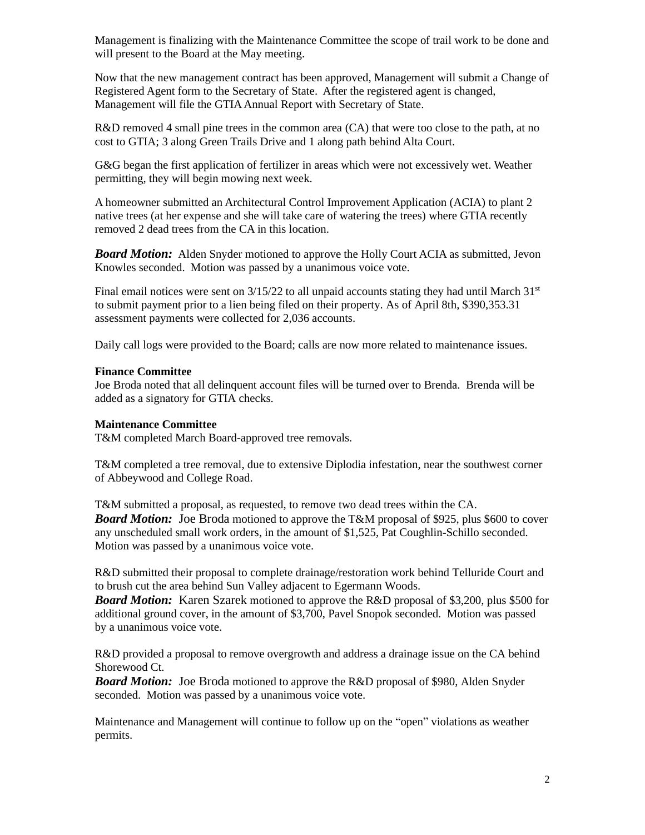Management is finalizing with the Maintenance Committee the scope of trail work to be done and will present to the Board at the May meeting.

Now that the new management contract has been approved, Management will submit a Change of Registered Agent form to the Secretary of State. After the registered agent is changed, Management will file the GTIA Annual Report with Secretary of State.

R&D removed 4 small pine trees in the common area (CA) that were too close to the path, at no cost to GTIA; 3 along Green Trails Drive and 1 along path behind Alta Court.

G&G began the first application of fertilizer in areas which were not excessively wet. Weather permitting, they will begin mowing next week.

A homeowner submitted an Architectural Control Improvement Application (ACIA) to plant 2 native trees (at her expense and she will take care of watering the trees) where GTIA recently removed 2 dead trees from the CA in this location.

*Board Motion:* Alden Snyder motioned to approve the Holly Court ACIA as submitted, Jevon Knowles seconded. Motion was passed by a unanimous voice vote.

Final email notices were sent on  $3/15/22$  to all unpaid accounts stating they had until March  $31<sup>st</sup>$ to submit payment prior to a lien being filed on their property. As of April 8th, \$390,353.31 assessment payments were collected for 2,036 accounts.

Daily call logs were provided to the Board; calls are now more related to maintenance issues.

## **Finance Committee**

Joe Broda noted that all delinquent account files will be turned over to Brenda. Brenda will be added as a signatory for GTIA checks.

#### **Maintenance Committee**

T&M completed March Board-approved tree removals.

T&M completed a tree removal, due to extensive Diplodia infestation, near the southwest corner of Abbeywood and College Road.

T&M submitted a proposal, as requested, to remove two dead trees within the CA. *Board Motion:* Joe Broda motioned to approve the T&M proposal of \$925, plus \$600 to cover any unscheduled small work orders, in the amount of \$1,525, Pat Coughlin-Schillo seconded. Motion was passed by a unanimous voice vote.

R&D submitted their proposal to complete drainage/restoration work behind Telluride Court and to brush cut the area behind Sun Valley adjacent to Egermann Woods.

*Board Motion:* Karen Szarek motioned to approve the R&D proposal of \$3,200, plus \$500 for additional ground cover, in the amount of \$3,700, Pavel Snopok seconded. Motion was passed by a unanimous voice vote.

R&D provided a proposal to remove overgrowth and address a drainage issue on the CA behind Shorewood Ct.

*Board Motion:* Joe Broda motioned to approve the R&D proposal of \$980, Alden Snyder seconded. Motion was passed by a unanimous voice vote.

Maintenance and Management will continue to follow up on the "open" violations as weather permits.